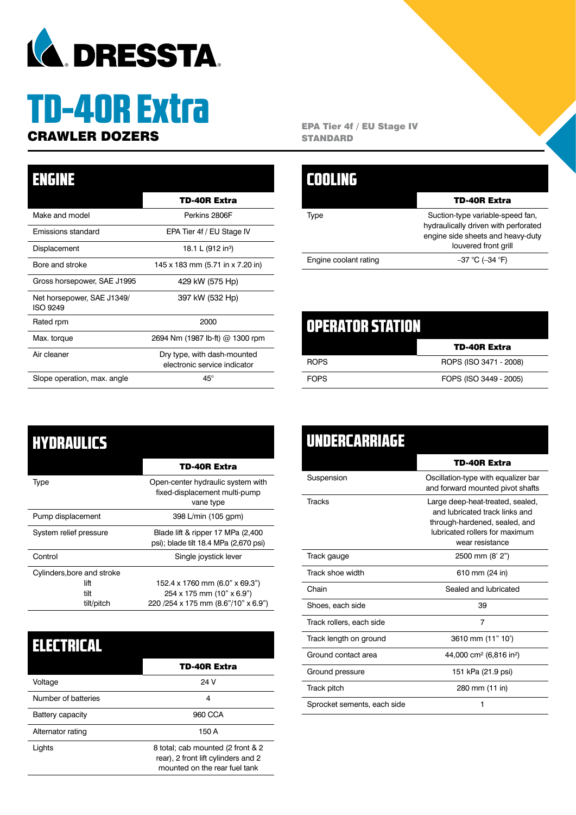

# TD-40R Extra

### TD-40R Extra Make and model **Perkins 2806F** Emissions standard EPA Tier 4f / EU Stage IV Displacement 18.1 L (912 in<sup>3</sup>) Bore and stroke 145 x 183 mm (5.71 in x 7.20 in) Gross horsepower, SAE J1995 429 kW (575 Hp) Net horsepower, SAE J1349/ ISO 9249 397 kW (532 Hp) Rated rpm 2000 Max. torque 2694 Nm (1987 lb-ft) @ 1300 rpm Air cleaner **Dry type, with dash-mounted** electronic service indicator Slope operation, max. angle 45° ENGINE

**CRAWLER DOZERS** EPA Tier 4f / EU Stage IV **STANDARD** 

|                       | <b>TD-40R Extra</b>                                                                                                                   |
|-----------------------|---------------------------------------------------------------------------------------------------------------------------------------|
| Tvpe                  | Suction-type variable-speed fan,<br>hydraulically driven with perforated<br>engine side sheets and heavy-duty<br>louvered front grill |
| Engine coolant rating | $-37$ °C (-34 °F)                                                                                                                     |

| <b>OPERATOR STATION</b> |                        |
|-------------------------|------------------------|
|                         | <b>TD-40R Extra</b>    |
| <b>ROPS</b>             | ROPS (ISO 3471 - 2008) |
| <b>FOPS</b>             | FOPS (ISO 3449 - 2005) |

| <b>HYDRAULICS</b>          |                                                                                 |
|----------------------------|---------------------------------------------------------------------------------|
|                            | TD-40R Extra                                                                    |
| Type                       | Open-center hydraulic system with<br>fixed-displacement multi-pump<br>vane type |
| Pump displacement          | 398 L/min (105 gpm)                                                             |
| System relief pressure     | Blade lift & ripper 17 MPa (2,400<br>psi); blade tilt 18.4 MPa (2,670 psi)      |
| Control                    | Single joystick lever                                                           |
| Cylinders, bore and stroke |                                                                                 |
| lift                       | 152.4 x 1760 mm (6.0" x 69.3")                                                  |
| tilt                       | 254 x 175 mm (10" x 6.9")                                                       |
| tilt/pitch                 | 220 / 254 x 175 mm (8.6" / 10" x 6.9")                                          |

| ▌ <b>╡▊╡▆▐</b> ▗▎▎▔▆▘░▜▐ |                                                                                                           |
|--------------------------|-----------------------------------------------------------------------------------------------------------|
|                          | <b>TD-40R Extra</b>                                                                                       |
| Voltage                  | 24 V                                                                                                      |
| Number of batteries      | 4                                                                                                         |
| Battery capacity         | 960 CCA                                                                                                   |
| Alternator rating        | 150 A                                                                                                     |
| Lights                   | 8 total; cab mounted (2 front & 2<br>rear), 2 front lift cylinders and 2<br>mounted on the rear fuel tank |

| UNDERCARRIAGE               |                                                                                                                                                          |
|-----------------------------|----------------------------------------------------------------------------------------------------------------------------------------------------------|
|                             | TD-40R Extra                                                                                                                                             |
| Suspension                  | Oscillation-type with equalizer bar<br>and forward mounted pivot shafts                                                                                  |
| <b>Tracks</b>               | Large deep-heat-treated, sealed,<br>and lubricated track links and<br>through-hardened, sealed, and<br>lubricated rollers for maximum<br>wear resistance |
| Track gauge                 | 2500 mm (8' 2")                                                                                                                                          |
| Track shoe width            | 610 mm (24 in)                                                                                                                                           |
| Chain                       | Sealed and lubricated                                                                                                                                    |
| Shoes, each side            | 39                                                                                                                                                       |
| Track rollers, each side    | 7                                                                                                                                                        |
| Track length on ground      | 3610 mm (11" 10')                                                                                                                                        |
| Ground contact area         | 44,000 cm <sup>2</sup> (6,816 in <sup>2</sup> )                                                                                                          |
| Ground pressure             | 151 kPa (21.9 psi)                                                                                                                                       |
| Track pitch                 | 280 mm (11 in)                                                                                                                                           |
| Sprocket sements, each side | 1                                                                                                                                                        |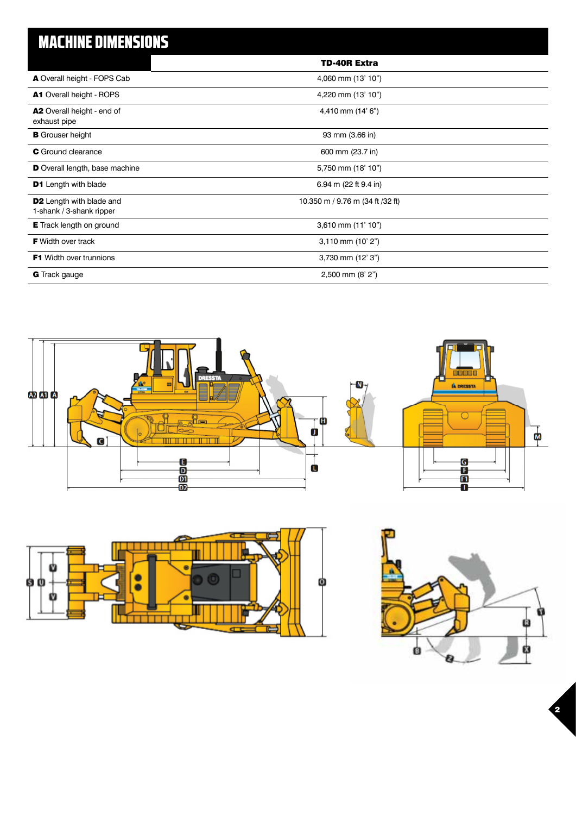# MACHINE DIMENSIONS

|                                                             | <b>TD-40R Extra</b>              |
|-------------------------------------------------------------|----------------------------------|
| A Overall height - FOPS Cab                                 | 4,060 mm (13' 10")               |
| <b>A1</b> Overall height - ROPS                             | 4,220 mm (13' 10")               |
| A2 Overall height - end of<br>exhaust pipe                  | 4,410 mm (14' 6")                |
| <b>B</b> Grouser height                                     | 93 mm (3.66 in)                  |
| <b>C</b> Ground clearance                                   | 600 mm (23.7 in)                 |
| D Overall length, base machine                              | 5,750 mm (18' 10")               |
| <b>D1</b> Length with blade                                 | 6.94 m (22 ft 9.4 in)            |
| <b>D2</b> Length with blade and<br>1-shank / 3-shank ripper | 10.350 m / 9.76 m (34 ft /32 ft) |
| <b>E</b> Track length on ground                             | $3,610$ mm $(11'10'')$           |
| <b>F</b> Width over track                                   | $3,110$ mm $(10'$ 2")            |
| <b>F1</b> Width over trunnions                              | 3,730 mm (12' 3")                |
| <b>G</b> Track gauge                                        | $2,500$ mm $(8' 2")$             |







 $\overline{\mathbf{2}}$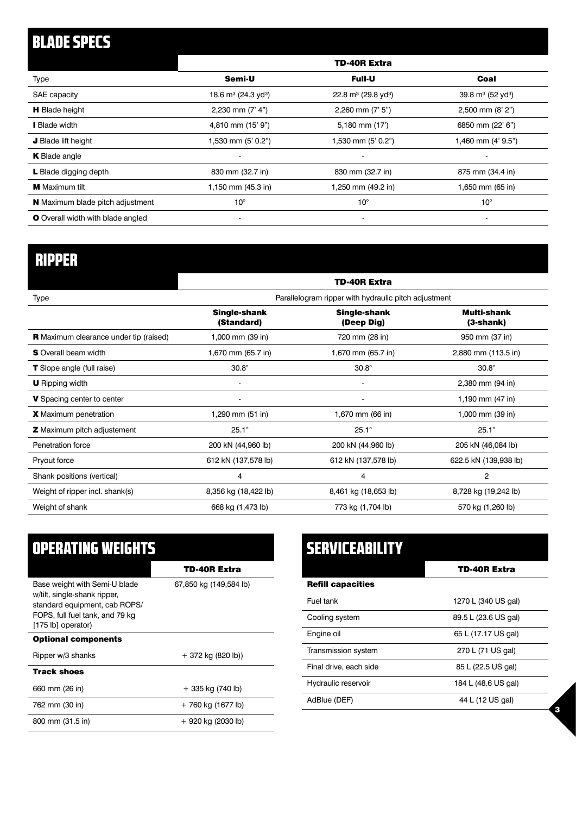# BLADE SPECS

|                                          | <b>TD-40R Extra</b>                |                                             |                                  |
|------------------------------------------|------------------------------------|---------------------------------------------|----------------------------------|
| Type                                     | Semi-U                             | <b>Full-U</b>                               | Coal                             |
| SAE capacity                             | 18.6 $m^3$ (24.3 yd <sup>3</sup> ) | 22.8 m <sup>3</sup> (29.8 yd <sup>3</sup> ) | 39.8 $m^3$ (52 yd <sup>3</sup> ) |
| <b>H</b> Blade height                    | 2,230 mm $(7' 4")$                 | $2,260$ mm $(7'5")$                         | $2,500$ mm $(8' 2")$             |
| I Blade width                            | 4,810 mm (15' 9")                  | 5,180 mm (17')                              | 6850 mm (22' 6")                 |
| J Blade lift height                      | 1,530 mm (5' 0.2")                 | 1,530 mm (5' 0.2")                          | 1,460 mm (4' 9.5")               |
| <b>K</b> Blade angle                     | $\overline{\phantom{a}}$           | $\overline{a}$                              |                                  |
| L Blade digging depth                    | 830 mm (32.7 in)                   | 830 mm (32.7 in)                            | 875 mm (34.4 in)                 |
| <b>M</b> Maximum tilt                    | 1,150 mm (45.3 in)                 | 1,250 mm (49.2 in)                          | 1,650 mm (65 in)                 |
| <b>N</b> Maximum blade pitch adjustment  | $10^{\circ}$                       | $10^{\circ}$                                | $10^{\circ}$                     |
| <b>O</b> Overall width with blade angled | $\overline{\phantom{a}}$           | $\overline{\phantom{a}}$                    | $\overline{\phantom{a}}$         |

# RIPPER

|                                               | TD-40R Extra<br>Parallelogram ripper with hydraulic pitch adjustment |                                   |                            |
|-----------------------------------------------|----------------------------------------------------------------------|-----------------------------------|----------------------------|
| Type                                          |                                                                      |                                   |                            |
|                                               | <b>Single-shank</b><br>(Standard)                                    | <b>Single-shank</b><br>(Deep Dig) | Multi-shank<br>$(3-shank)$ |
| <b>R</b> Maximum clearance under tip (raised) | 1,000 mm (39 in)                                                     | 720 mm (28 in)                    | 950 mm (37 in)             |
| <b>S</b> Overall beam width                   | 1,670 mm (65.7 in)                                                   | 1,670 mm (65.7 in)                | 2,880 mm (113.5 in)        |
| <b>T</b> Slope angle (full raise)             | $30.8^\circ$                                                         | $30.8^\circ$                      | $30.8^\circ$               |
| <b>U</b> Ripping width                        |                                                                      |                                   | 2,380 mm (94 in)           |
| V Spacing center to center                    | $\overline{\phantom{a}}$                                             | $\overline{\phantom{a}}$          | 1,190 mm (47 in)           |
| <b>X</b> Maximum penetration                  | 1,290 mm (51 in)                                                     | 1,670 mm (66 in)                  | 1,000 mm (39 in)           |
| <b>Z</b> Maximum pitch adjustement            | $25.1^\circ$                                                         | $25.1^\circ$                      | $25.1^\circ$               |
| Penetration force                             | 200 kN (44,960 lb)                                                   | 200 kN (44,960 lb)                | 205 kN (46,084 lb)         |
| Pryout force                                  | 612 kN (137,578 lb)                                                  | 612 kN (137,578 lb)               | 622.5 kN (139,938 lb)      |
| Shank positions (vertical)                    | 4                                                                    | 4                                 | 2                          |
| Weight of ripper incl. shank(s)               | 8,356 kg (18,422 lb)                                                 | 8,461 kg (18,653 lb)              | 8,728 kg (19,242 lb)       |
| Weight of shank                               | 668 kg (1,473 lb)                                                    | 773 kg (1,704 lb)                 | 570 kg (1,260 lb)          |

| OPERATING WEIGHTS                                                                                                                                       |                        |  |  |
|---------------------------------------------------------------------------------------------------------------------------------------------------------|------------------------|--|--|
|                                                                                                                                                         | TD-40R Extra           |  |  |
| Base weight with Semi-U blade<br>w/tilt, single-shank ripper,<br>standard equipment, cab ROPS/<br>FOPS, full fuel tank, and 79 kg<br>[175 lb] operator) | 67,850 kg (149,584 lb) |  |  |
| <b>Optional components</b>                                                                                                                              |                        |  |  |
| Ripper w/3 shanks                                                                                                                                       | $+372$ kg (820 lb))    |  |  |
| <b>Track shoes</b>                                                                                                                                      |                        |  |  |
| 660 mm (26 in)                                                                                                                                          | + 335 kg (740 lb)      |  |  |
| 762 mm (30 in)                                                                                                                                          | + 760 kg (1677 lb)     |  |  |
| 800 mm (31.5 in)                                                                                                                                        | $+920$ kg (2030 lb)    |  |  |

| <b>SERVICEABILITY</b>    |                      |
|--------------------------|----------------------|
|                          | TD-40R Extra         |
| <b>Refill capacities</b> |                      |
| Fuel tank                | 1270 L (340 US gal)  |
| Cooling system           | 89.5 L (23.6 US gal) |
| Engine oil               | 65 L (17.17 US gal)  |
| Transmission system      | 270 L (71 US gal)    |
| Final drive, each side   | 85 L (22.5 US gal)   |
| Hydraulic reservoir      | 184 L (48.6 US gal)  |
| AdBlue (DEF)             | 44 L (12 US gal)     |

3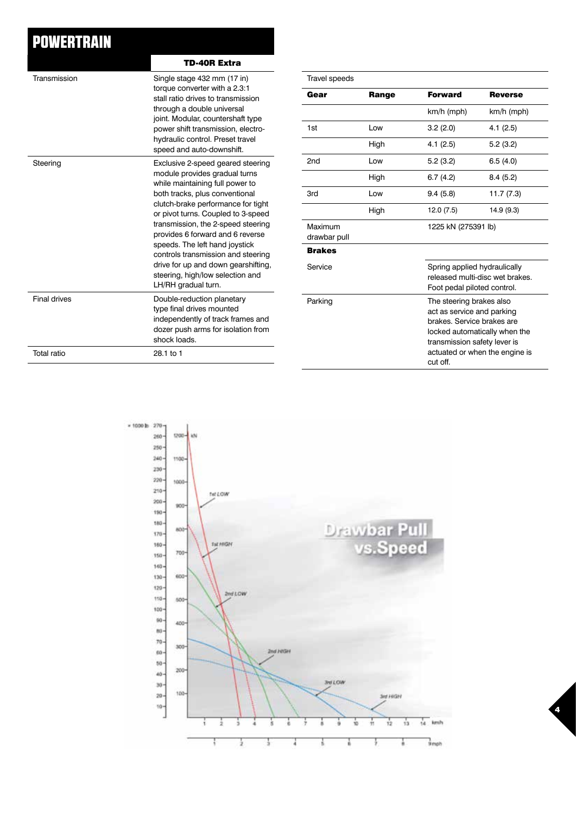## **POWERTRAIN**

|                     | TD-40R Extra                                                                                                                                                                                                                                                                                                                                                                                                                                                            |
|---------------------|-------------------------------------------------------------------------------------------------------------------------------------------------------------------------------------------------------------------------------------------------------------------------------------------------------------------------------------------------------------------------------------------------------------------------------------------------------------------------|
| Transmission        | Single stage 432 mm (17 in)<br>torque converter with a 2.3:1<br>stall ratio drives to transmission<br>through a double universal<br>joint. Modular, countershaft type<br>power shift transmission, electro-<br>hydraulic control. Preset travel<br>speed and auto-downshift.                                                                                                                                                                                            |
| Steering            | Exclusive 2-speed geared steering<br>module provides gradual turns<br>while maintaining full power to<br>both tracks, plus conventional<br>clutch-brake performance for tight<br>or pivot turns. Coupled to 3-speed<br>transmission, the 2-speed steering<br>provides 6 forward and 6 reverse<br>speeds. The left hand joystick<br>controls transmission and steering<br>drive for up and down gearshifting,<br>steering, high/low selection and<br>LH/RH gradual turn. |
| <b>Final drives</b> | Double-reduction planetary<br>type final drives mounted<br>independently of track frames and<br>dozer push arms for isolation from<br>shock loads.                                                                                                                                                                                                                                                                                                                      |
| Total ratio         | 28.1 to 1                                                                                                                                                                                                                                                                                                                                                                                                                                                               |

| Travel speeds           |       |                                                                                                                                  |                                                                                                |  |
|-------------------------|-------|----------------------------------------------------------------------------------------------------------------------------------|------------------------------------------------------------------------------------------------|--|
| Gear                    | Range | <b>Forward</b>                                                                                                                   | <b>Reverse</b>                                                                                 |  |
|                         |       | $km/h$ (mph)                                                                                                                     | km/h (mph)                                                                                     |  |
| 1st                     | Low   | 3.2(2.0)                                                                                                                         | 4.1(2.5)                                                                                       |  |
|                         | High  | 4.1(2.5)                                                                                                                         | 5.2(3.2)                                                                                       |  |
| 2 <sub>nd</sub>         | Low   | 5.2(3.2)                                                                                                                         | 6.5(4.0)                                                                                       |  |
|                         | High  | 6.7(4.2)                                                                                                                         | 8.4(5.2)                                                                                       |  |
| 3rd                     | Low   | 9.4(5.8)                                                                                                                         | 11.7 (7.3)                                                                                     |  |
|                         | High  | 12.0 (7.5)                                                                                                                       | 14.9 (9.3)                                                                                     |  |
| Maximum<br>drawbar pull |       |                                                                                                                                  | 1225 kN (275391 lb)                                                                            |  |
| <b>Brakes</b>           |       |                                                                                                                                  |                                                                                                |  |
| Service                 |       |                                                                                                                                  | Spring applied hydraulically<br>released multi-disc wet brakes.<br>Foot pedal piloted control. |  |
| Parking                 |       | The steering brakes also<br>act as service and parking<br>brakes. Service brakes are<br>transmission safety lever is<br>cut off. | locked automatically when the<br>actuated or when the engine is                                |  |

4

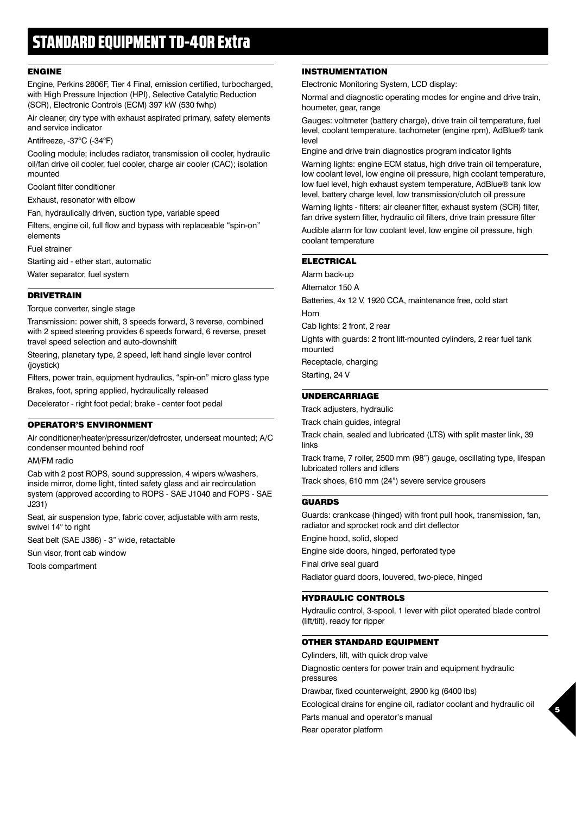#### ENGINE

Engine, Perkins 2806F, Tier 4 Final, emission certified, turbocharged, with High Pressure Injection (HPI), Selective Catalytic Reduction (SCR), Electronic Controls (ECM) 397 kW (530 fwhp)

Air cleaner, dry type with exhaust aspirated primary, safety elements and service indicator

Antifreeze, -37°C (-34°F)

Cooling module; includes radiator, transmission oil cooler, hydraulic oil/fan drive oil cooler, fuel cooler, charge air cooler (CAC); isolation mounted

Coolant filter conditioner

Exhaust, resonator with elbow

Fan, hydraulically driven, suction type, variable speed

Filters, engine oil, full flow and bypass with replaceable "spin-on" elements

Fuel strainer

Starting aid - ether start, automatic

Water separator, fuel system

#### DRIVETRAIN

Torque converter, single stage

Transmission: power shift, 3 speeds forward, 3 reverse, combined with 2 speed steering provides 6 speeds forward, 6 reverse, preset travel speed selection and auto-downshift

Steering, planetary type, 2 speed, left hand single lever control (joystick)

Filters, power train, equipment hydraulics, "spin-on" micro glass type Brakes, foot, spring applied, hydraulically released

Decelerator - right foot pedal; brake - center foot pedal

#### OPERATOR'S ENVIRONMENT

Air conditioner/heater/pressurizer/defroster, underseat mounted; A/C condenser mounted behind roof

AM/FM radio

Cab with 2 post ROPS, sound suppression, 4 wipers w/washers, inside mirror, dome light, tinted safety glass and air recirculation system (approved according to ROPS - SAE J1040 and FOPS - SAE J231)

Seat, air suspension type, fabric cover, adjustable with arm rests, swivel 14° to right

Seat belt (SAE J386) - 3" wide, retactable

Sun visor, front cab window

Tools compartment

#### INSTRUMENTATION

Electronic Monitoring System, LCD display:

Normal and diagnostic operating modes for engine and drive train, houmeter, gear, range

Gauges: voltmeter (battery charge), drive train oil temperature, fuel level, coolant temperature, tachometer (engine rpm), AdBlue® tank level

Engine and drive train diagnostics program indicator lights

Warning lights: engine ECM status, high drive train oil temperature, low coolant level, low engine oil pressure, high coolant temperature, low fuel level, high exhaust system temperature, AdBlue® tank low level, battery charge level, low transmission/clutch oil pressure

Warning lights - filters: air cleaner filter, exhaust system (SCR) filter, fan drive system filter, hydraulic oil filters, drive train pressure filter

Audible alarm for low coolant level, low engine oil pressure, high coolant temperature

#### **ELECTRICAL**

Alarm back-up

Alternator 150 A

Batteries, 4x 12 V, 1920 CCA, maintenance free, cold start

Horn

Cab lights: 2 front, 2 rear

Lights with guards: 2 front lift-mounted cylinders, 2 rear fuel tank mounted

Receptacle, charging

Starting, 24 V

#### UNDERCARRIAGE

Track adjusters, hydraulic

Track chain guides, integral

Track chain, sealed and lubricated (LTS) with split master link, 39 links

Track frame, 7 roller, 2500 mm (98") gauge, oscillating type, lifespan lubricated rollers and idlers

Track shoes, 610 mm (24") severe service grousers

#### GUARDS

Guards: crankcase (hinged) with front pull hook, transmission, fan, radiator and sprocket rock and dirt deflector

Engine hood, solid, sloped

Engine side doors, hinged, perforated type

Final drive seal guard

Radiator guard doors, louvered, two-piece, hinged

#### HYDRAULIC CONTROLS

Hydraulic control, 3-spool, 1 lever with pilot operated blade control (lift/tilt), ready for ripper

#### OTHER STANDARD EQUIPMENT

Cylinders, lift, with quick drop valve Diagnostic centers for power train and equipment hydraulic pressures Drawbar, fixed counterweight, 2900 kg (6400 lbs) Ecological drains for engine oil, radiator coolant and hydraulic oil Parts manual and operator's manual

5

Rear operator platform